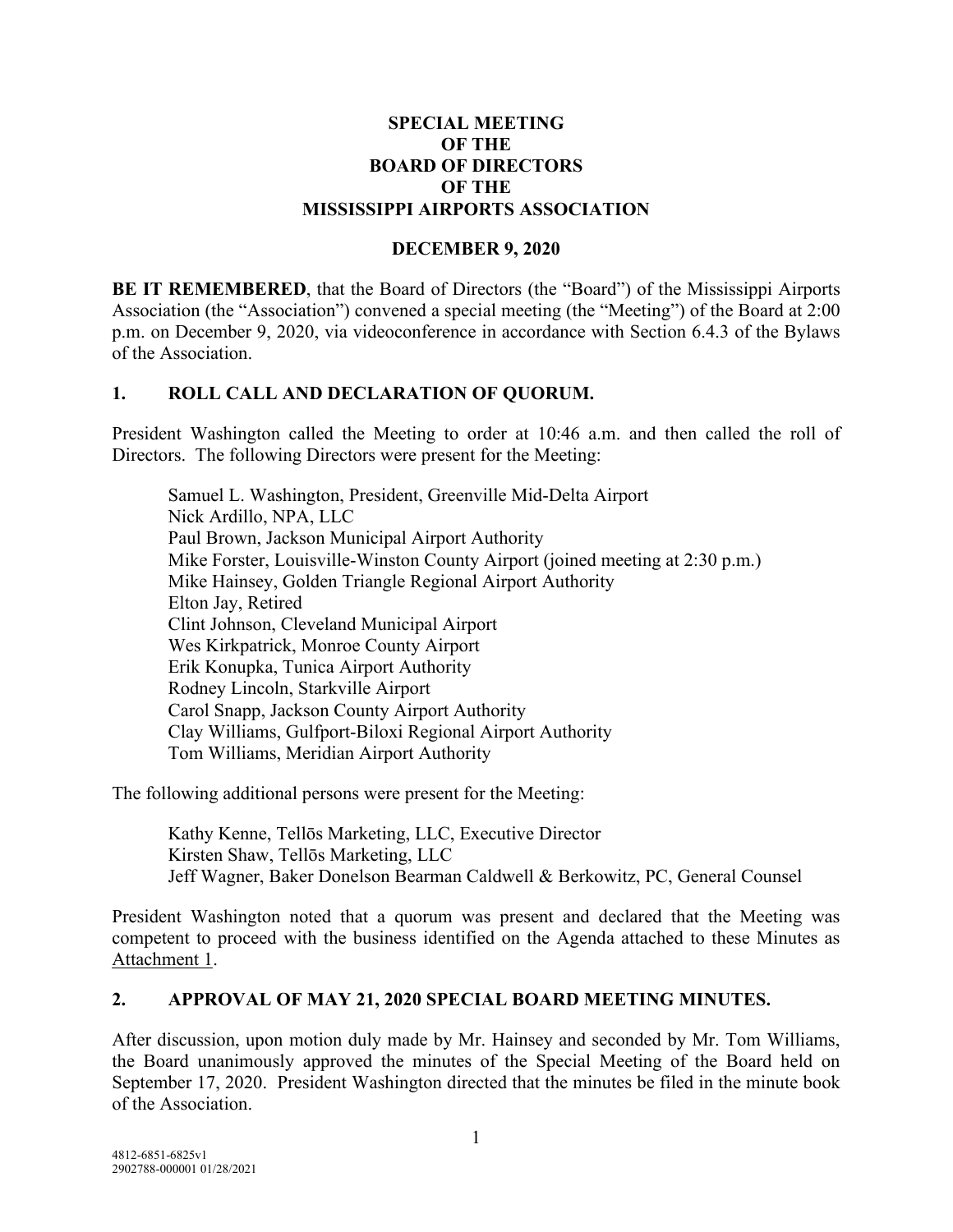#### **SPECIAL MEETING OF THE BOARD OF DIRECTORS OF THE MISSISSIPPI AIRPORTS ASSOCIATION**

#### **DECEMBER 9, 2020**

**BE IT REMEMBERED**, that the Board of Directors (the "Board") of the Mississippi Airports Association (the "Association") convened a special meeting (the "Meeting") of the Board at 2:00 p.m. on December 9, 2020, via videoconference in accordance with Section 6.4.3 of the Bylaws of the Association.

### **1. ROLL CALL AND DECLARATION OF QUORUM.**

President Washington called the Meeting to order at 10:46 a.m. and then called the roll of Directors. The following Directors were present for the Meeting:

Samuel L. Washington, President, Greenville Mid-Delta Airport Nick Ardillo, NPA, LLC Paul Brown, Jackson Municipal Airport Authority Mike Forster, Louisville-Winston County Airport (joined meeting at 2:30 p.m.) Mike Hainsey, Golden Triangle Regional Airport Authority Elton Jay, Retired Clint Johnson, Cleveland Municipal Airport Wes Kirkpatrick, Monroe County Airport Erik Konupka, Tunica Airport Authority Rodney Lincoln, Starkville Airport Carol Snapp, Jackson County Airport Authority Clay Williams, Gulfport-Biloxi Regional Airport Authority Tom Williams, Meridian Airport Authority

The following additional persons were present for the Meeting:

Kathy Kenne, Tellōs Marketing, LLC, Executive Director Kirsten Shaw, Tellōs Marketing, LLC Jeff Wagner, Baker Donelson Bearman Caldwell & Berkowitz, PC, General Counsel

President Washington noted that a quorum was present and declared that the Meeting was competent to proceed with the business identified on the Agenda attached to these Minutes as Attachment 1.

#### **2. APPROVAL OF MAY 21, 2020 SPECIAL BOARD MEETING MINUTES.**

After discussion, upon motion duly made by Mr. Hainsey and seconded by Mr. Tom Williams, the Board unanimously approved the minutes of the Special Meeting of the Board held on September 17, 2020. President Washington directed that the minutes be filed in the minute book of the Association.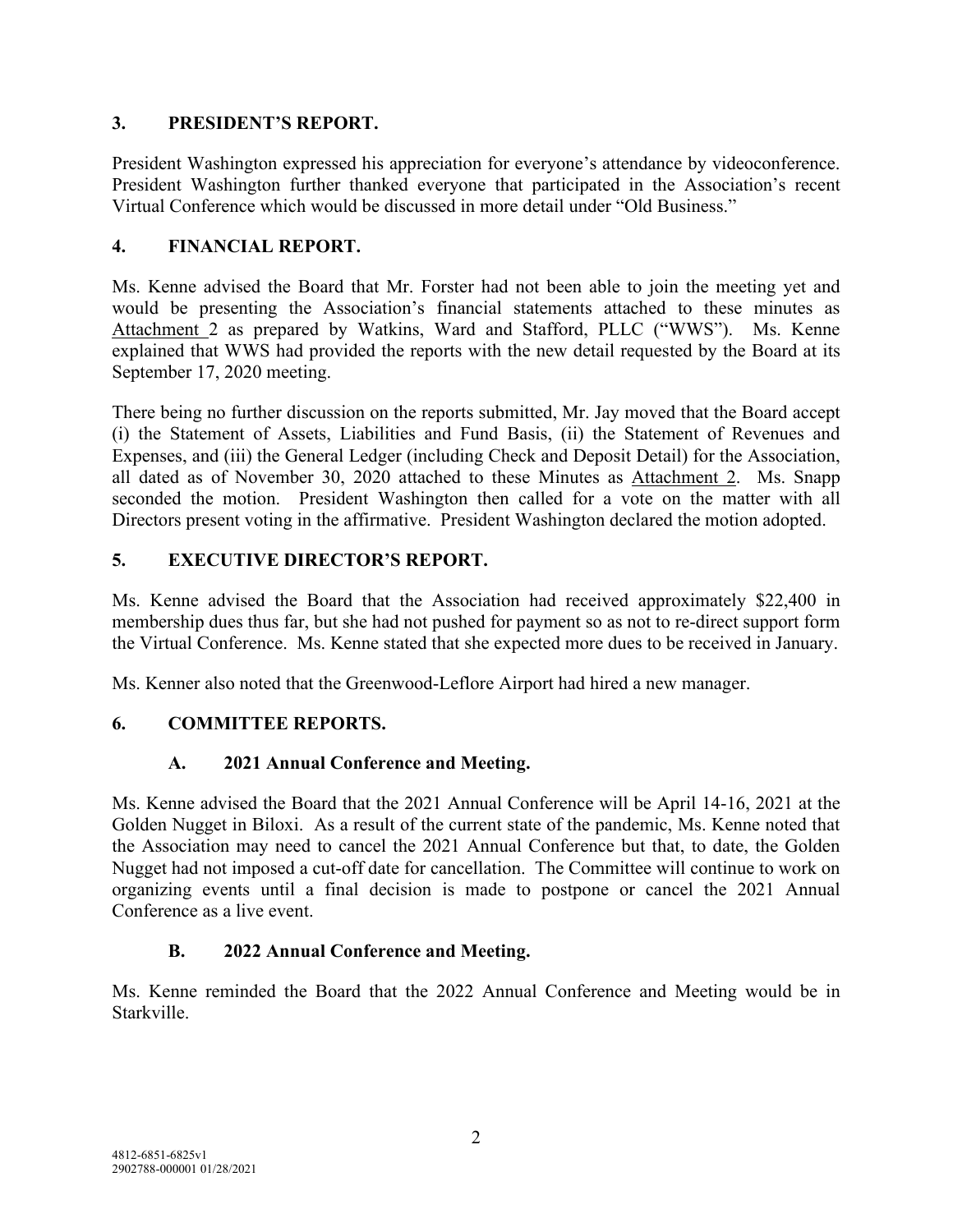### **3. PRESIDENT'S REPORT.**

President Washington expressed his appreciation for everyone's attendance by videoconference. President Washington further thanked everyone that participated in the Association's recent Virtual Conference which would be discussed in more detail under "Old Business."

## **4. FINANCIAL REPORT.**

Ms. Kenne advised the Board that Mr. Forster had not been able to join the meeting yet and would be presenting the Association's financial statements attached to these minutes as Attachment 2 as prepared by Watkins, Ward and Stafford, PLLC ("WWS"). Ms. Kenne explained that WWS had provided the reports with the new detail requested by the Board at its September 17, 2020 meeting.

There being no further discussion on the reports submitted, Mr. Jay moved that the Board accept (i) the Statement of Assets, Liabilities and Fund Basis, (ii) the Statement of Revenues and Expenses, and (iii) the General Ledger (including Check and Deposit Detail) for the Association, all dated as of November 30, 2020 attached to these Minutes as Attachment 2. Ms. Snapp seconded the motion. President Washington then called for a vote on the matter with all Directors present voting in the affirmative. President Washington declared the motion adopted.

## **5. EXECUTIVE DIRECTOR'S REPORT.**

Ms. Kenne advised the Board that the Association had received approximately \$22,400 in membership dues thus far, but she had not pushed for payment so as not to re-direct support form the Virtual Conference. Ms. Kenne stated that she expected more dues to be received in January.

Ms. Kenner also noted that the Greenwood-Leflore Airport had hired a new manager.

## **6. COMMITTEE REPORTS.**

## **A. 2021 Annual Conference and Meeting.**

Ms. Kenne advised the Board that the 2021 Annual Conference will be April 14-16, 2021 at the Golden Nugget in Biloxi. As a result of the current state of the pandemic, Ms. Kenne noted that the Association may need to cancel the 2021 Annual Conference but that, to date, the Golden Nugget had not imposed a cut-off date for cancellation. The Committee will continue to work on organizing events until a final decision is made to postpone or cancel the 2021 Annual Conference as a live event.

## **B. 2022 Annual Conference and Meeting.**

Ms. Kenne reminded the Board that the 2022 Annual Conference and Meeting would be in Starkville.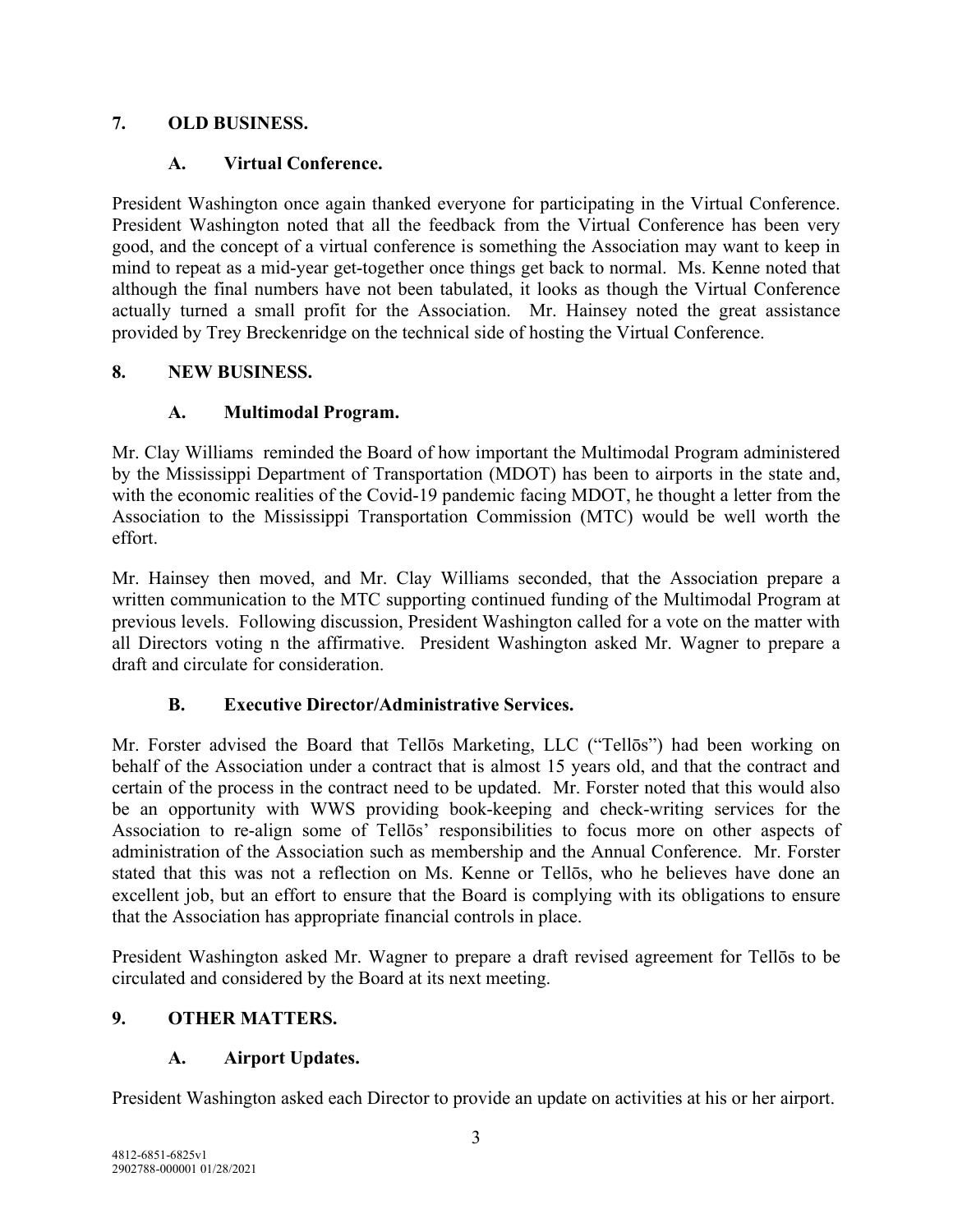## **7. OLD BUSINESS.**

## **A. Virtual Conference.**

President Washington once again thanked everyone for participating in the Virtual Conference. President Washington noted that all the feedback from the Virtual Conference has been very good, and the concept of a virtual conference is something the Association may want to keep in mind to repeat as a mid-year get-together once things get back to normal. Ms. Kenne noted that although the final numbers have not been tabulated, it looks as though the Virtual Conference actually turned a small profit for the Association. Mr. Hainsey noted the great assistance provided by Trey Breckenridge on the technical side of hosting the Virtual Conference.

## **8. NEW BUSINESS.**

## **A. Multimodal Program.**

Mr. Clay Williams reminded the Board of how important the Multimodal Program administered by the Mississippi Department of Transportation (MDOT) has been to airports in the state and, with the economic realities of the Covid-19 pandemic facing MDOT, he thought a letter from the Association to the Mississippi Transportation Commission (MTC) would be well worth the effort.

Mr. Hainsey then moved, and Mr. Clay Williams seconded, that the Association prepare a written communication to the MTC supporting continued funding of the Multimodal Program at previous levels. Following discussion, President Washington called for a vote on the matter with all Directors voting n the affirmative. President Washington asked Mr. Wagner to prepare a draft and circulate for consideration.

## **B. Executive Director/Administrative Services.**

Mr. Forster advised the Board that Tellōs Marketing, LLC ("Tellōs") had been working on behalf of the Association under a contract that is almost 15 years old, and that the contract and certain of the process in the contract need to be updated. Mr. Forster noted that this would also be an opportunity with WWS providing book-keeping and check-writing services for the Association to re-align some of Tellōs' responsibilities to focus more on other aspects of administration of the Association such as membership and the Annual Conference. Mr. Forster stated that this was not a reflection on Ms. Kenne or Tellōs, who he believes have done an excellent job, but an effort to ensure that the Board is complying with its obligations to ensure that the Association has appropriate financial controls in place.

President Washington asked Mr. Wagner to prepare a draft revised agreement for Tellōs to be circulated and considered by the Board at its next meeting.

## **9. OTHER MATTERS.**

## **A. Airport Updates.**

President Washington asked each Director to provide an update on activities at his or her airport.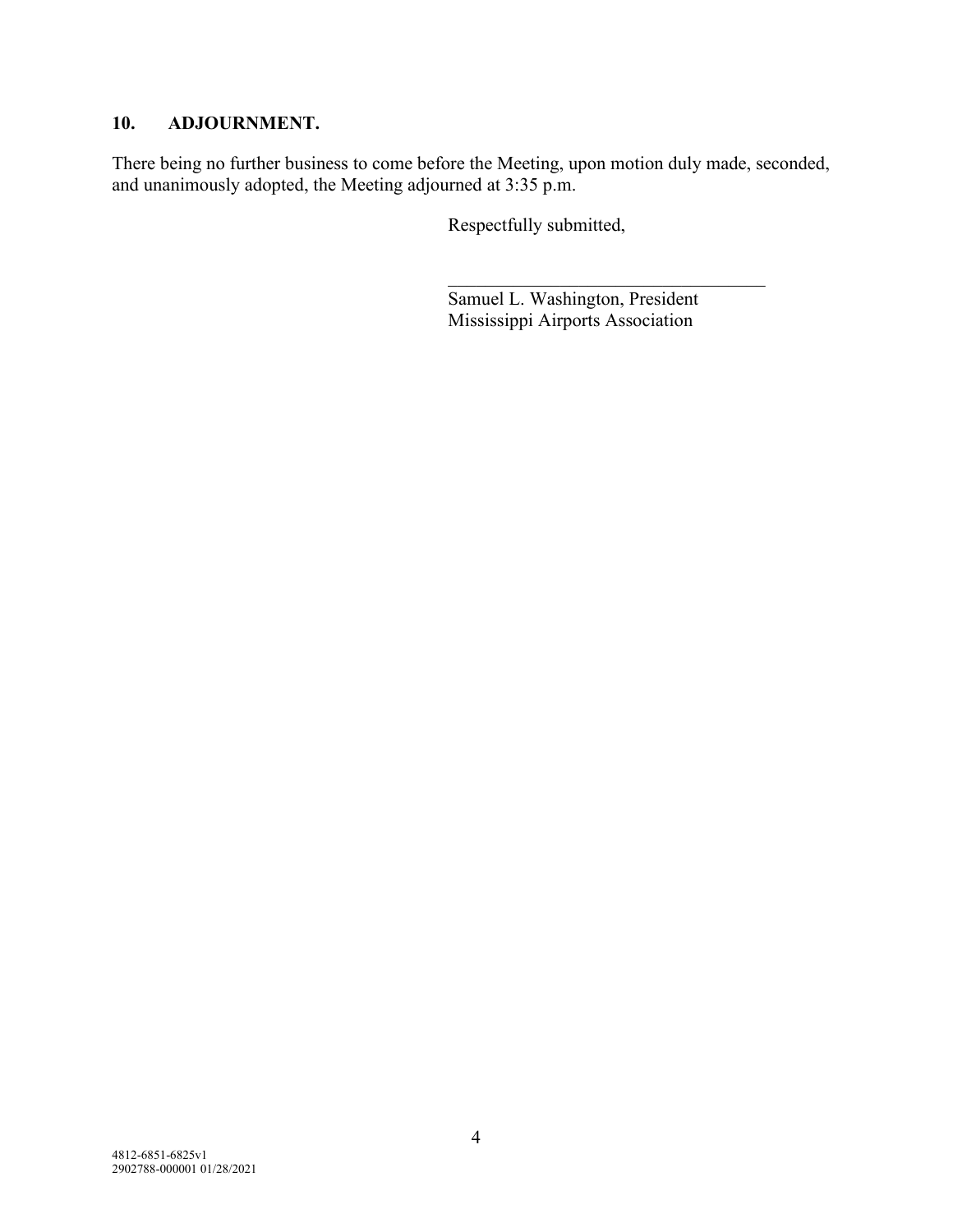#### **10. ADJOURNMENT.**

There being no further business to come before the Meeting, upon motion duly made, seconded, and unanimously adopted, the Meeting adjourned at 3:35 p.m.

Respectfully submitted,

Samuel L. Washington, President Mississippi Airports Association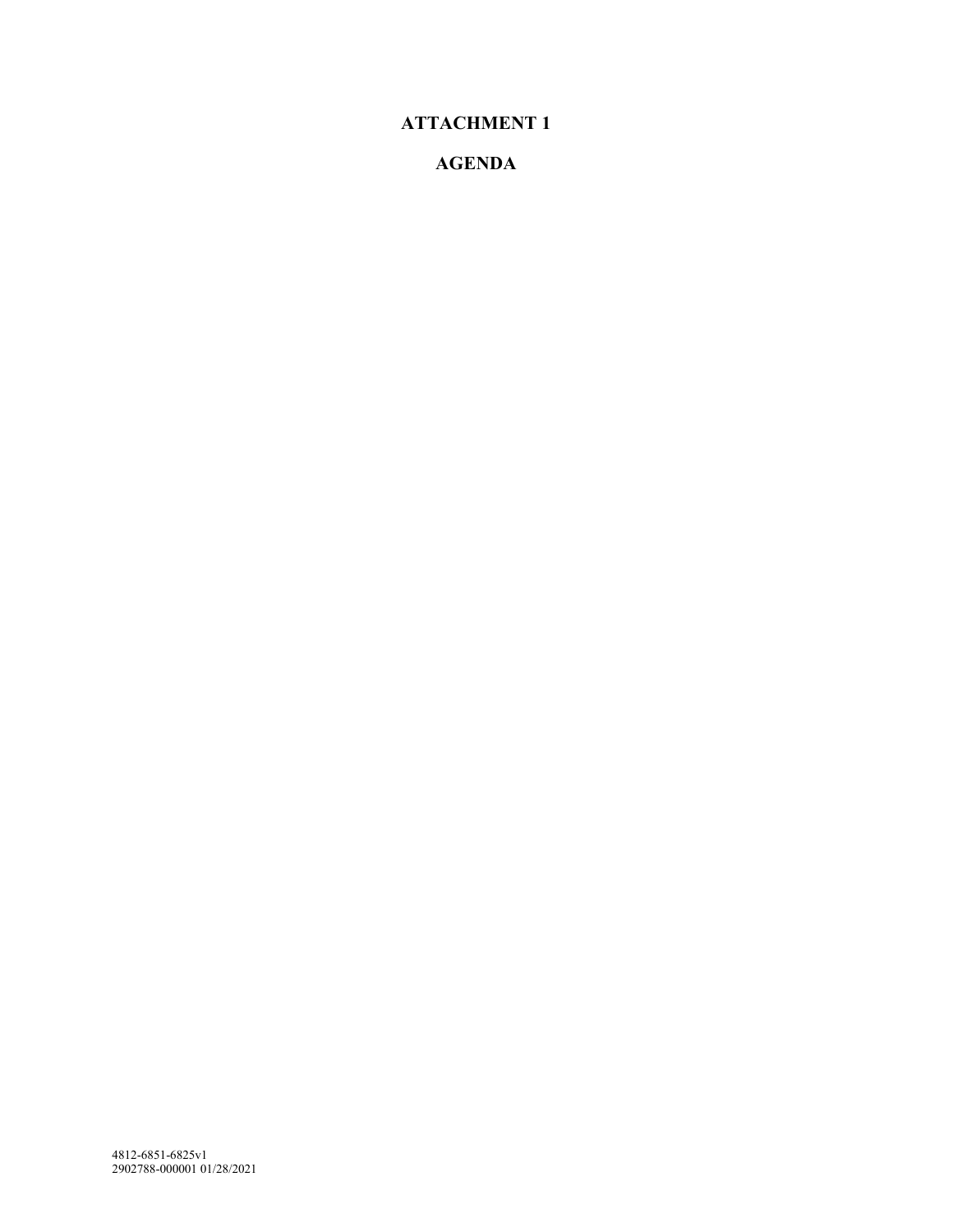# **ATTACHMENT 1**

## **AGENDA**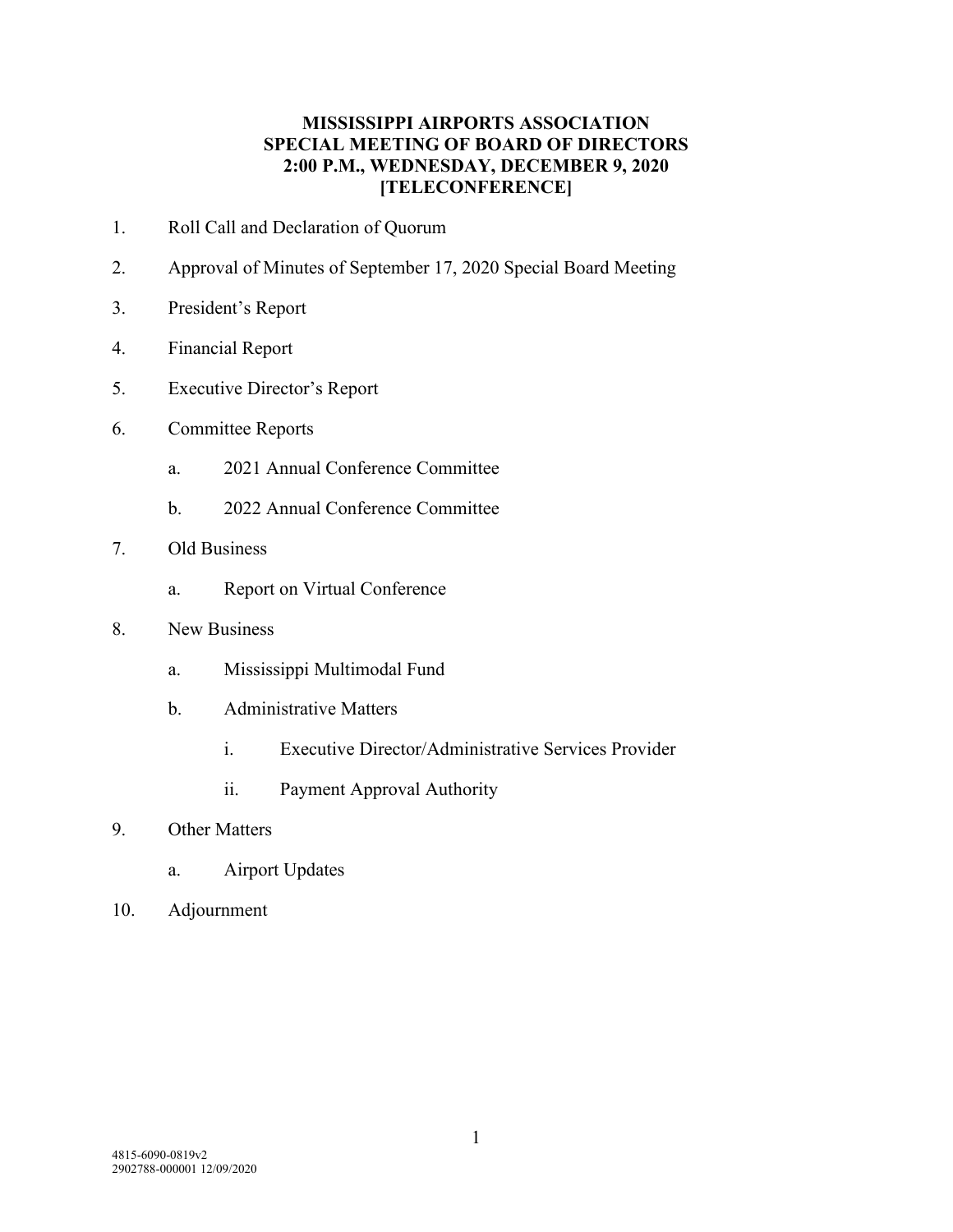#### **MISSISSIPPI AIRPORTS ASSOCIATION SPECIAL MEETING OF BOARD OF DIRECTORS 2:00 P.M., WEDNESDAY, DECEMBER 9, 2020 [TELECONFERENCE]**

- 1. Roll Call and Declaration of Quorum
- 2. Approval of Minutes of September 17, 2020 Special Board Meeting
- 3. President's Report
- 4. Financial Report
- 5. Executive Director's Report
- 6. Committee Reports
	- a. 2021 Annual Conference Committee
	- b. 2022 Annual Conference Committee
- 7. Old Business
	- a. Report on Virtual Conference
- 8. New Business
	- a. Mississippi Multimodal Fund
	- b. Administrative Matters
		- i. Executive Director/Administrative Services Provider
		- ii. Payment Approval Authority

#### 9. Other Matters

- a. Airport Updates
- 10. Adjournment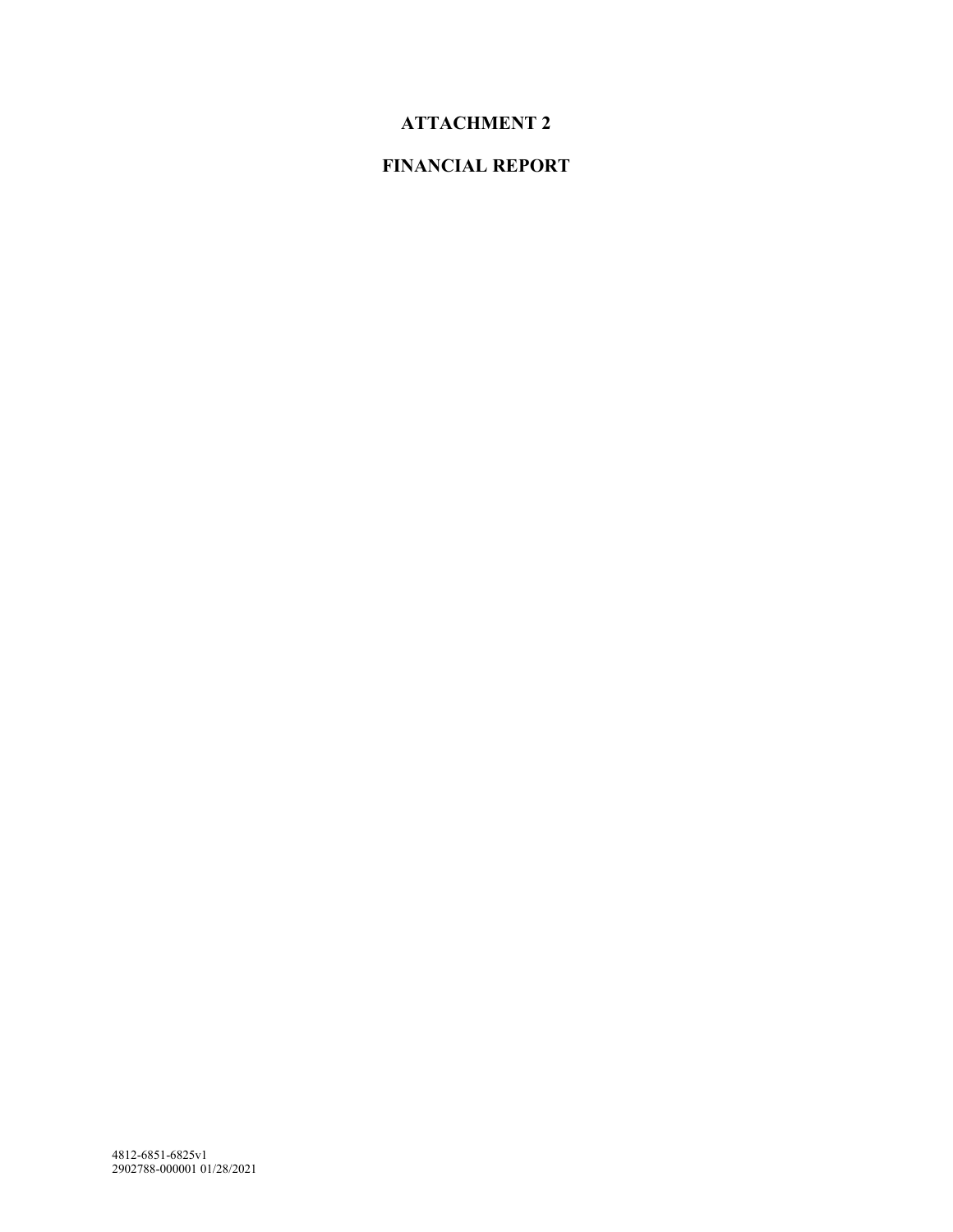# **ATTACHMENT 2**

# **FINANCIAL REPORT**

4812-6851-6825v1 2902788-000001 01/28/2021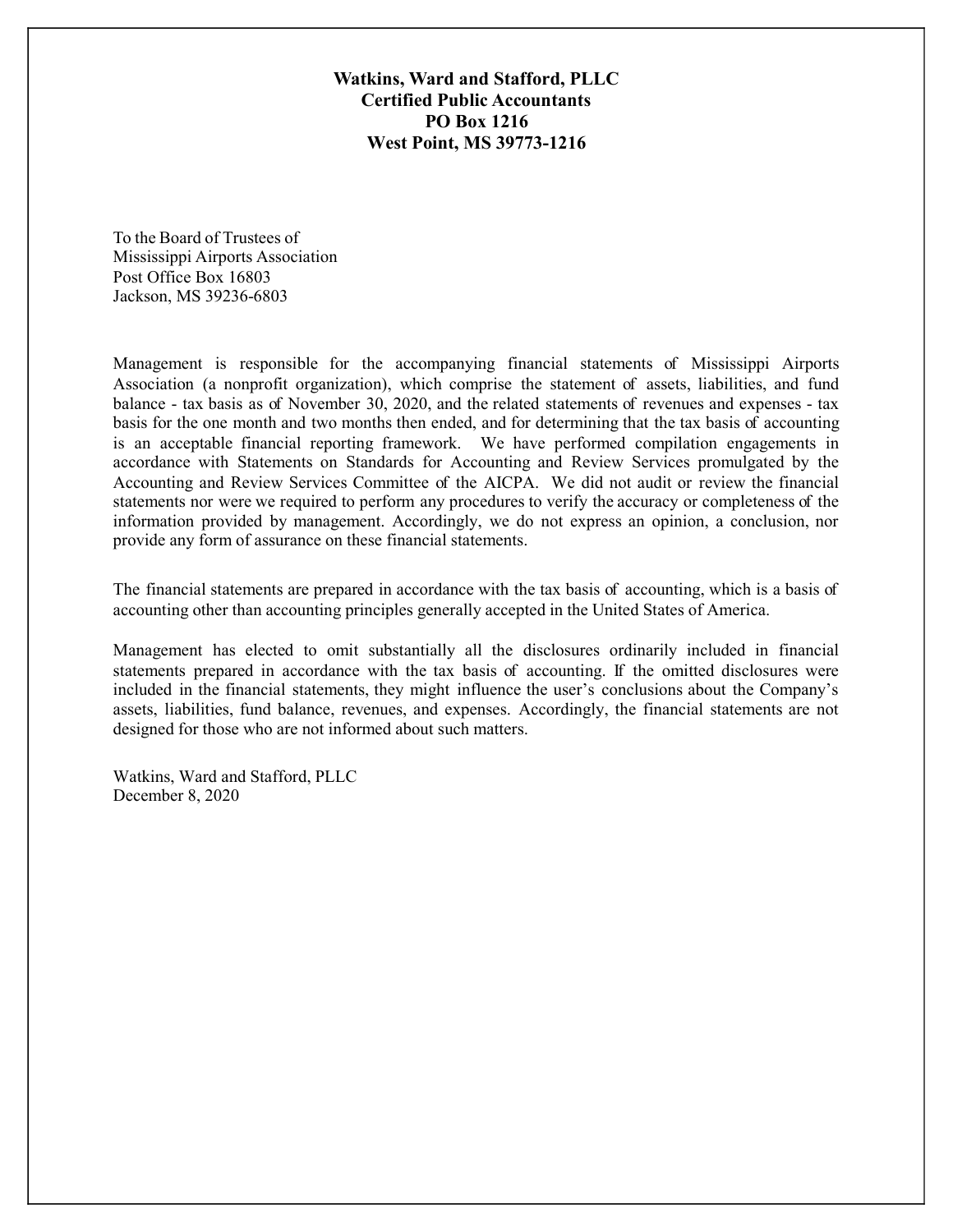Watkins, Ward and Stafford, PLLC **Certified Public Accountants PO Box 1216 West Point, MS 39773-1216** 

To the Board of Trustees of Mississippi Airports Association Post Office Box 16803 Jackson, MS 39236-6803

Management is responsible for the accompanying financial statements of Mississippi Airports Association (a nonprofit organization), which comprise the statement of assets, liabilities, and fund balance - tax basis as of November 30, 2020, and the related statements of revenues and expenses - tax basis for the one month and two months then ended, and for determining that the tax basis of accounting is an acceptable financial reporting framework. We have performed compilation engagements in accordance with Statements on Standards for Accounting and Review Services promulgated by the Accounting and Review Services Committee of the AICPA. We did not audit or review the financial statements nor were we required to perform any procedures to verify the accuracy or completeness of the information provided by management. Accordingly, we do not express an opinion, a conclusion, nor provide any form of assurance on these financial statements.

The financial statements are prepared in accordance with the tax basis of accounting, which is a basis of accounting other than accounting principles generally accepted in the United States of America.

Management has elected to omit substantially all the disclosures ordinarily included in financial statements prepared in accordance with the tax basis of accounting. If the omitted disclosures were included in the financial statements, they might influence the user's conclusions about the Company's assets, liabilities, fund balance, revenues, and expenses. Accordingly, the financial statements are not designed for those who are not informed about such matters.

Watkins, Ward and Stafford, PLLC December 8, 2020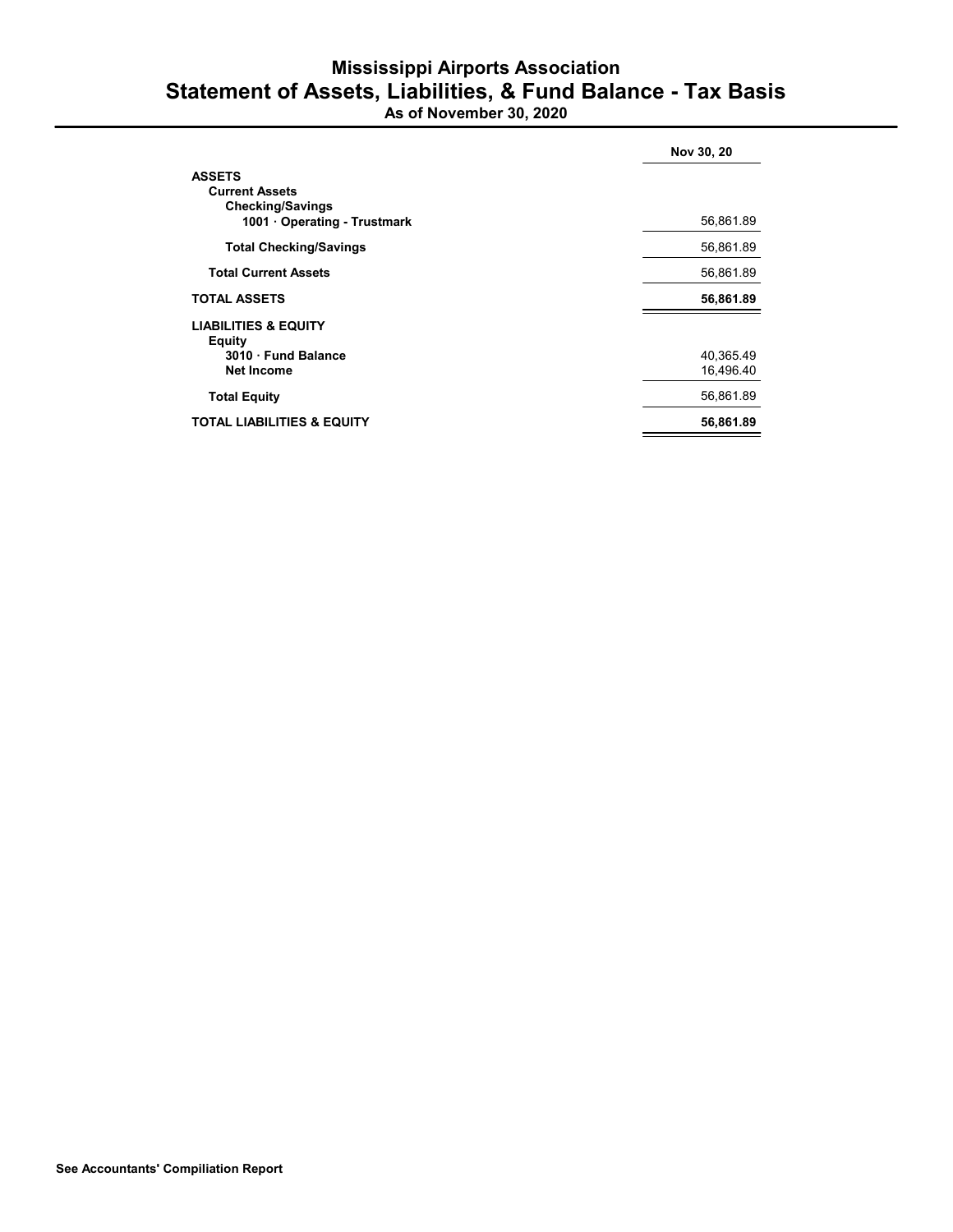# **Mississippi Airports Association** Statement of Assets, Liabilities, & Fund Balance - Tax Basis<br>As of November 30, 2020

|                                                                                                 | Nov 30, 20             |
|-------------------------------------------------------------------------------------------------|------------------------|
| <b>ASSETS</b><br><b>Current Assets</b><br><b>Checking/Savings</b><br>1001 Operating - Trustmark | 56,861.89              |
| <b>Total Checking/Savings</b>                                                                   | 56,861.89              |
| <b>Total Current Assets</b>                                                                     | 56,861.89              |
| <b>TOTAL ASSETS</b>                                                                             | 56,861.89              |
| <b>LIABILITIES &amp; EQUITY</b><br>Equity<br>3010 Fund Balance<br><b>Net Income</b>             | 40,365.49<br>16,496.40 |
| <b>Total Equity</b>                                                                             | 56,861.89              |
| <b>TOTAL LIABILITIES &amp; EQUITY</b>                                                           | 56,861.89              |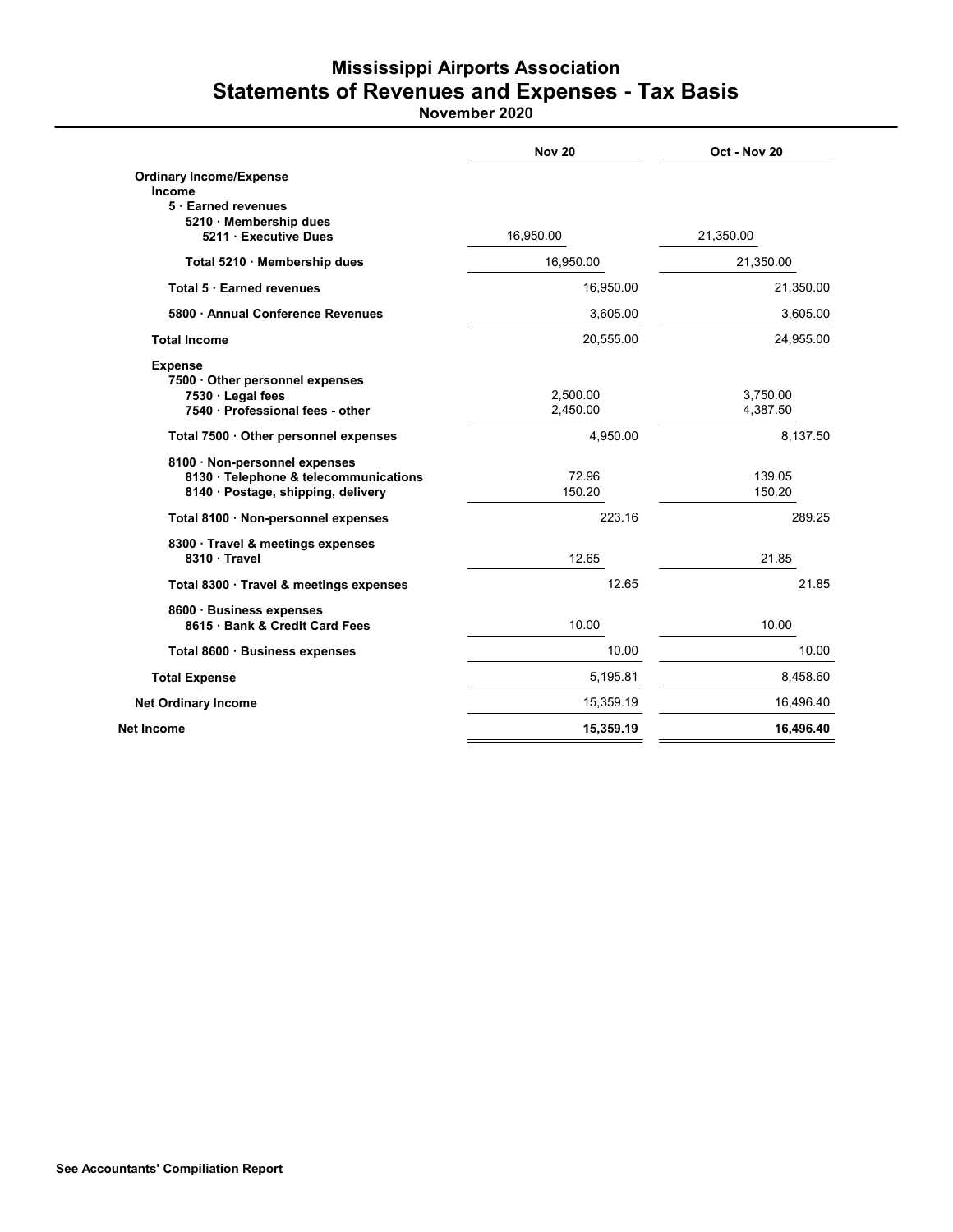# **Mississippi Airports Association** Statements of Revenues and Expenses - Tax Basis

|                                                                                                              | <b>Nov 20</b>        | Oct - Nov 20         |
|--------------------------------------------------------------------------------------------------------------|----------------------|----------------------|
| <b>Ordinary Income/Expense</b><br>Income<br>5 Earned revenues                                                |                      |                      |
| 5210 · Membership dues<br>5211 Executive Dues                                                                | 16,950.00            | 21,350.00            |
| Total 5210 · Membership dues                                                                                 | 16,950.00            | 21,350.00            |
| Total 5 · Earned revenues                                                                                    | 16,950.00            | 21,350.00            |
| 5800 Annual Conference Revenues                                                                              | 3,605.00             | 3,605.00             |
| <b>Total Income</b>                                                                                          | 20,555.00            | 24,955.00            |
| <b>Expense</b><br>7500 Other personnel expenses<br>7530 Legal fees<br>7540 Professional fees - other         | 2,500.00<br>2,450.00 | 3,750.00<br>4,387.50 |
| Total 7500 · Other personnel expenses                                                                        | 4,950.00             | 8,137.50             |
| 8100 · Non-personnel expenses<br>8130 · Telephone & telecommunications<br>8140 · Postage, shipping, delivery | 72.96<br>150.20      | 139.05<br>150.20     |
| Total 8100 · Non-personnel expenses                                                                          | 223.16               | 289.25               |
| 8300 Travel & meetings expenses<br>8310 · Travel                                                             | 12.65                | 21.85                |
| Total 8300 · Travel & meetings expenses                                                                      | 12.65                | 21.85                |
| 8600 Business expenses<br>8615 Bank & Credit Card Fees                                                       | 10.00                | 10.00                |
| Total 8600 · Business expenses                                                                               | 10.00                | 10.00                |
| <b>Total Expense</b>                                                                                         | 5,195.81             | 8,458.60             |
| <b>Net Ordinary Income</b>                                                                                   | 15,359.19            | 16,496.40            |
| <b>Net Income</b>                                                                                            | 15,359.19            | 16,496.40            |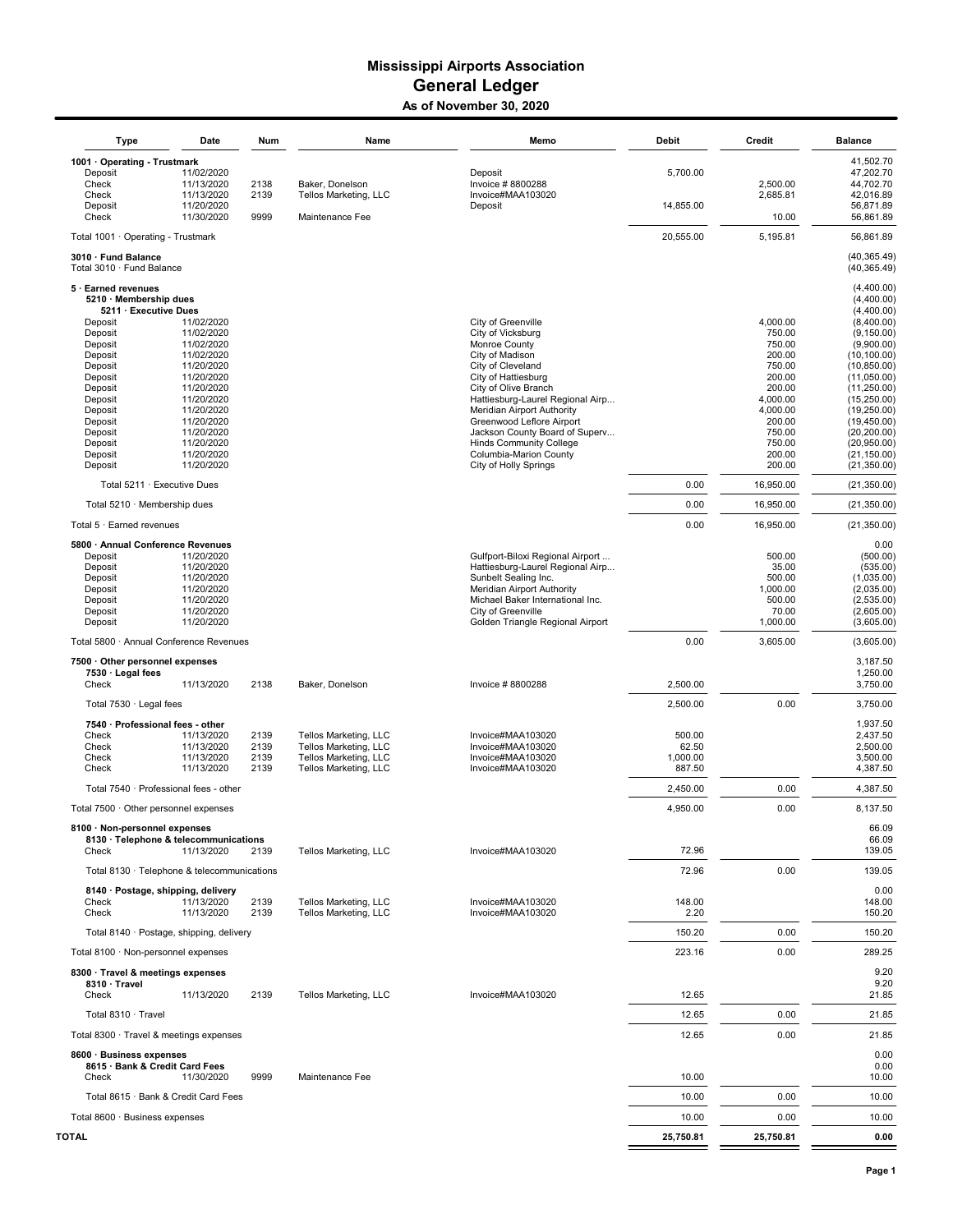#### **Mississippi Airports Association General Ledger** As of November 30, 2020

| Type                                                       | Date                     | Num          | Name                                           | Memo                                                           | <b>Debit</b>      | Credit             | <b>Balance</b>               |
|------------------------------------------------------------|--------------------------|--------------|------------------------------------------------|----------------------------------------------------------------|-------------------|--------------------|------------------------------|
| 1001 · Operating - Trustmark                               |                          |              |                                                |                                                                |                   |                    | 41,502.70                    |
| Deposit<br>Check                                           | 11/02/2020<br>11/13/2020 | 2138         | Baker, Donelson                                | Deposit<br>Invoice #8800288                                    | 5,700.00          | 2,500.00           | 47,202.70<br>44,702.70       |
| Check                                                      | 11/13/2020               | 2139         | Tellos Marketing, LLC                          | Invoice#MAA103020                                              |                   | 2,685.81           | 42,016.89                    |
| Deposit<br>Check                                           | 11/20/2020<br>11/30/2020 | 9999         | Maintenance Fee                                | Deposit                                                        | 14,855.00         | 10.00              | 56,871.89                    |
| Total 1001 · Operating - Trustmark                         |                          |              |                                                |                                                                | 20,555.00         | 5,195.81           | 56,861.89<br>56,861.89       |
| 3010 · Fund Balance                                        |                          |              |                                                |                                                                |                   |                    | (40, 365.49)                 |
| Total 3010 · Fund Balance                                  |                          |              |                                                |                                                                |                   |                    | (40, 365.49)                 |
| 5 · Earned revenues<br>5210 · Membership dues              |                          |              |                                                |                                                                |                   |                    | (4,400.00)<br>(4,400.00)     |
| 5211 · Executive Dues                                      |                          |              |                                                |                                                                |                   |                    | (4.400.00)                   |
| Deposit                                                    | 11/02/2020               |              |                                                | City of Greenville                                             |                   | 4,000.00           | (8,400.00)                   |
| Deposit<br>Deposit                                         | 11/02/2020<br>11/02/2020 |              |                                                | City of Vicksburg<br>Monroe County                             |                   | 750.00<br>750.00   | (9, 150.00)<br>(9,900.00)    |
| Deposit                                                    | 11/02/2020               |              |                                                | City of Madison                                                |                   | 200.00             | (10, 100.00)                 |
| Deposit                                                    | 11/20/2020               |              |                                                | City of Cleveland                                              |                   | 750.00             | (10, 850.00)                 |
| Deposit<br>Deposit                                         | 11/20/2020<br>11/20/2020 |              |                                                | City of Hattiesburg<br>City of Olive Branch                    |                   | 200.00<br>200.00   | (11,050.00)<br>(11, 250.00)  |
| Deposit                                                    | 11/20/2020               |              |                                                | Hattiesburg-Laurel Regional Airp                               |                   | 4,000.00           | (15, 250.00)                 |
| Deposit                                                    | 11/20/2020               |              |                                                | Meridian Airport Authority                                     |                   | 4,000.00           | (19, 250.00)                 |
| Deposit<br>Deposit                                         | 11/20/2020<br>11/20/2020 |              |                                                | Greenwood Leflore Airport<br>Jackson County Board of Superv    |                   | 200.00<br>750.00   | (19, 450.00)<br>(20, 200.00) |
| Deposit                                                    | 11/20/2020               |              |                                                | <b>Hinds Community College</b>                                 |                   | 750.00             | (20,950.00)                  |
| Deposit                                                    | 11/20/2020               |              |                                                | Columbia-Marion County                                         |                   | 200.00             | (21, 150.00)                 |
| Deposit                                                    | 11/20/2020               |              |                                                | City of Holly Springs                                          |                   | 200.00             | (21, 350.00)                 |
| Total 5211 · Executive Dues                                |                          |              |                                                |                                                                | 0.00              | 16,950.00          | (21, 350.00)                 |
| Total 5210 · Membership dues                               |                          |              |                                                |                                                                | 0.00              | 16.950.00          | (21, 350.00)                 |
| Total 5 · Earned revenues                                  |                          |              |                                                |                                                                | 0.00              | 16,950.00          | (21, 350.00)                 |
| 5800 · Annual Conference Revenues<br>Deposit               | 11/20/2020               |              |                                                | Gulfport-Biloxi Regional Airport                               |                   | 500.00             | 0.00<br>(500.00)             |
| Deposit                                                    | 11/20/2020               |              |                                                | Hattiesburg-Laurel Regional Airp                               |                   | 35.00              | (535.00)                     |
| Deposit                                                    | 11/20/2020               |              |                                                | Sunbelt Sealing Inc.                                           |                   | 500.00             | (1,035.00)                   |
| Deposit<br>Deposit                                         | 11/20/2020<br>11/20/2020 |              |                                                | Meridian Airport Authority<br>Michael Baker International Inc. |                   | 1,000.00<br>500.00 | (2,035.00)<br>(2,535.00)     |
| Deposit                                                    | 11/20/2020               |              |                                                | City of Greenville                                             |                   | 70.00              | (2,605.00)                   |
| Deposit                                                    | 11/20/2020               |              |                                                | Golden Triangle Regional Airport                               |                   | 1,000.00           | (3,605.00)                   |
| Total 5800 · Annual Conference Revenues                    |                          |              |                                                |                                                                | 0.00              | 3,605.00           | (3,605.00)                   |
| 7500 · Other personnel expenses                            |                          |              |                                                |                                                                |                   |                    | 3,187.50                     |
| 7530 · Legal fees<br>Check                                 | 11/13/2020               | 2138         | Baker, Donelson                                | Invoice #8800288                                               | 2,500.00          |                    | 1,250.00<br>3,750.00         |
| Total 7530 · Legal fees                                    |                          |              |                                                |                                                                | 2,500.00          | 0.00               | 3,750.00                     |
| 7540 · Professional fees - other                           |                          |              |                                                |                                                                |                   |                    | 1,937.50                     |
| Check                                                      | 11/13/2020               | 2139         | Tellos Marketing, LLC                          | Invoice#MAA103020                                              | 500.00            |                    | 2,437.50                     |
| Check<br>Check                                             | 11/13/2020<br>11/13/2020 | 2139<br>2139 | Tellos Marketing, LLC<br>Tellos Marketing, LLC | Invoice#MAA103020<br>Invoice#MAA103020                         | 62.50<br>1,000.00 |                    | 2,500.00<br>3,500.00         |
| Check                                                      | 11/13/2020               | 2139         | Tellos Marketing, LLC                          | Invoice#MAA103020                                              | 887.50            |                    | 4,387.50                     |
| Total 7540 · Professional fees - other                     |                          |              |                                                |                                                                | 2,450.00          | 0.00               | 4,387.50                     |
| Total 7500 · Other personnel expenses                      |                          |              |                                                |                                                                | 4,950.00          | 0.00               | 8.137.50                     |
| 8100 · Non-personnel expenses                              |                          |              |                                                |                                                                |                   |                    | 66.09                        |
| 8130 · Telephone & telecommunications<br>Check             | 11/13/2020               | 2139         | Tellos Marketing, LLC                          | Invoice#MAA103020                                              | 72.96             |                    | 66.09<br>139.05              |
| Total 8130 · Telephone & telecommunications                |                          |              |                                                |                                                                | 72.96             | 0.00               | 139.05                       |
| 8140 · Postage, shipping, delivery                         |                          |              |                                                |                                                                |                   |                    | 0.00                         |
| Check                                                      | 11/13/2020               | 2139         | Tellos Marketing, LLC                          | Invoice#MAA103020                                              | 148.00            |                    | 148.00                       |
| Check                                                      | 11/13/2020               | 2139         | Tellos Marketing, LLC                          | Invoice#MAA103020                                              | 2.20              |                    | 150.20                       |
| Total 8140 · Postage, shipping, delivery                   |                          |              |                                                |                                                                | 150.20            | 0.00               | 150.20                       |
| Total 8100 · Non-personnel expenses                        |                          |              |                                                |                                                                | 223.16            | 0.00               | 289.25                       |
| 8300 · Travel & meetings expenses<br>8310 · Travel         |                          |              |                                                |                                                                |                   |                    | 9.20<br>9.20                 |
| Check                                                      | 11/13/2020               | 2139         | Tellos Marketing, LLC                          | Invoice#MAA103020                                              | 12.65             |                    | 21.85                        |
| Total 8310 · Travel                                        |                          |              |                                                |                                                                | 12.65             | 0.00               | 21.85                        |
| Total 8300 · Travel & meetings expenses                    |                          |              |                                                |                                                                | 12.65             | 0.00               | 21.85                        |
| 8600 · Business expenses<br>8615 · Bank & Credit Card Fees |                          |              |                                                |                                                                |                   |                    | 0.00<br>0.00                 |
| Check                                                      | 11/30/2020               | 9999         | Maintenance Fee                                |                                                                | 10.00             |                    | 10.00                        |
| Total 8615 · Bank & Credit Card Fees                       |                          |              |                                                |                                                                | 10.00             | 0.00               | 10.00                        |
| Total 8600 · Business expenses                             |                          |              |                                                |                                                                | 10.00             | 0.00               | 10.00                        |
| <b>TOTAL</b>                                               |                          |              |                                                |                                                                | 25,750.81         | 25,750.81          | 0.00                         |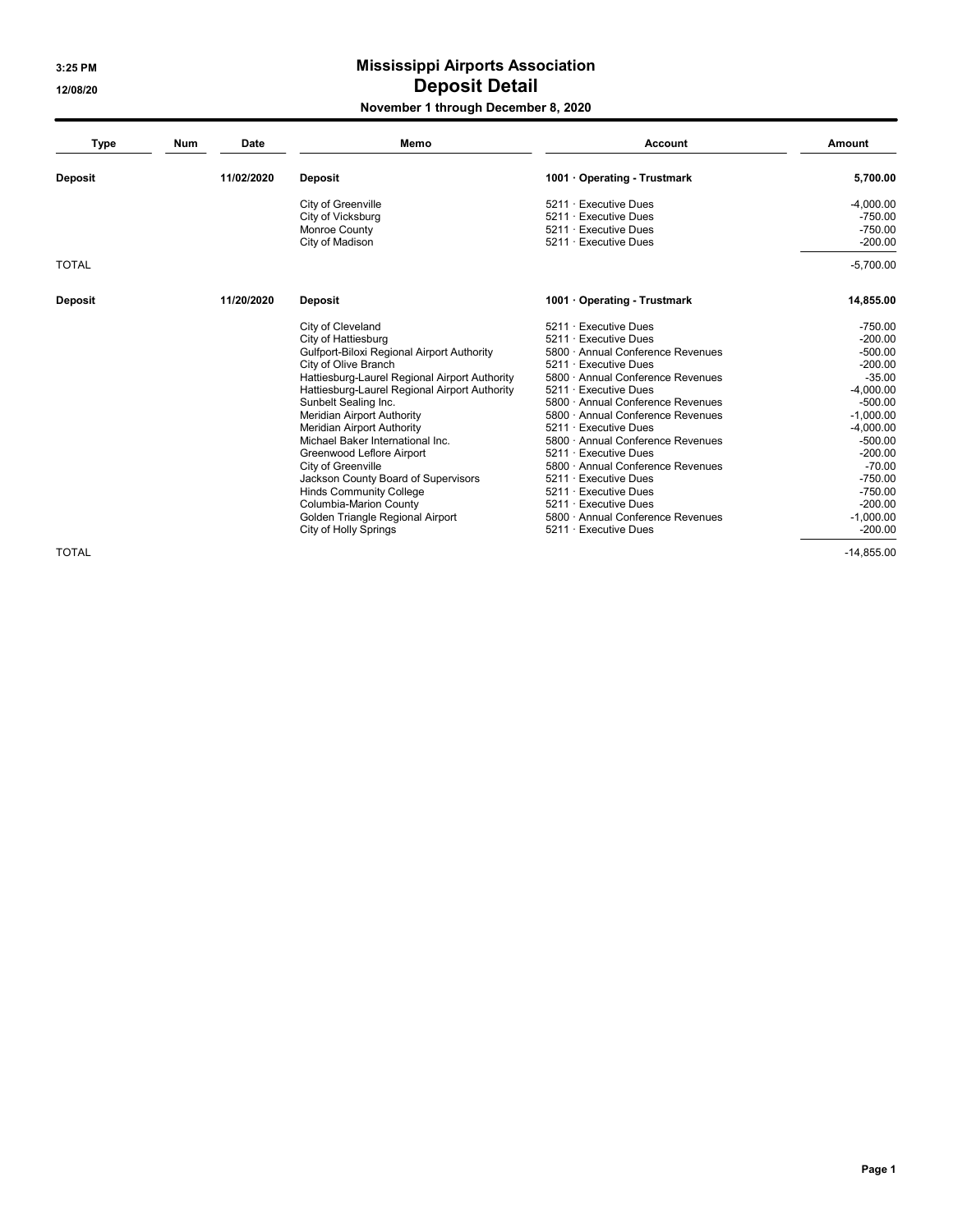3:25 PM

12/08/20

# **Mississippi Airports Association Deposit Detail**

### November 1 through December 8, 2020

| <b>Type</b>    | Memo<br><b>Num</b><br>Date |            | <b>Account</b>                                | Amount                            |              |
|----------------|----------------------------|------------|-----------------------------------------------|-----------------------------------|--------------|
| <b>Deposit</b> |                            | 11/02/2020 | <b>Deposit</b>                                | 1001 · Operating - Trustmark      | 5,700.00     |
|                |                            |            | City of Greenville                            | 5211 · Executive Dues             | $-4,000.00$  |
|                |                            |            | City of Vicksburg                             | 5211 · Executive Dues             | $-750.00$    |
|                |                            |            | Monroe County                                 | 5211 · Executive Dues             | $-750.00$    |
|                |                            |            | City of Madison                               | 5211 · Executive Dues             | $-200.00$    |
| <b>TOTAL</b>   |                            |            |                                               |                                   | $-5,700.00$  |
| <b>Deposit</b> |                            | 11/20/2020 | Deposit                                       | 1001 · Operating - Trustmark      | 14,855.00    |
|                |                            |            | City of Cleveland                             | 5211 · Executive Dues             | $-750.00$    |
|                |                            |            | City of Hattiesburg                           | 5211 · Executive Dues             | $-200.00$    |
|                |                            |            | Gulfport-Biloxi Regional Airport Authority    | 5800 · Annual Conference Revenues | $-500.00$    |
|                |                            |            | City of Olive Branch                          | $5211 \cdot$ Executive Dues       | $-200.00$    |
|                |                            |            | Hattiesburg-Laurel Regional Airport Authority | 5800 Annual Conference Revenues   | $-35.00$     |
|                |                            |            | Hattiesburg-Laurel Regional Airport Authority | $5211 \cdot$ Executive Dues       | $-4,000.00$  |
|                |                            |            | Sunbelt Sealing Inc.                          | 5800 · Annual Conference Revenues | $-500.00$    |
|                |                            |            | Meridian Airport Authority                    | 5800 Annual Conference Revenues   | $-1.000.00$  |
|                |                            |            | Meridian Airport Authority                    | 5211 · Executive Dues             | $-4,000.00$  |
|                |                            |            | Michael Baker International Inc.              | 5800 · Annual Conference Revenues | $-500.00$    |
|                |                            |            | Greenwood Leflore Airport                     | 5211 · Executive Dues             | $-200.00$    |
|                |                            |            | City of Greenville                            | 5800 · Annual Conference Revenues | $-70.00$     |
|                |                            |            | Jackson County Board of Supervisors           | 5211 · Executive Dues             | $-750.00$    |
|                |                            |            | <b>Hinds Community College</b>                | $5211 \cdot$ Executive Dues       | $-750.00$    |
|                |                            |            | <b>Columbia-Marion County</b>                 | 5211 · Executive Dues             | $-200.00$    |
|                |                            |            | Golden Triangle Regional Airport              | 5800 Annual Conference Revenues   | $-1,000.00$  |
|                |                            |            | City of Holly Springs                         | 5211 · Executive Dues             | $-200.00$    |
| <b>TOTAL</b>   |                            |            |                                               |                                   | $-14.855.00$ |